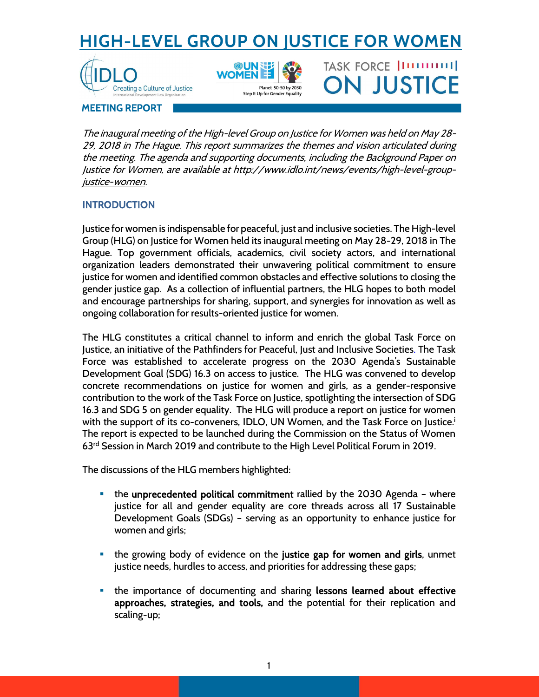# **HIGH-LEVEL GROUP ON JUSTICE FOR WOMEN**

TASK FORCE |IIIIIIIIIII

**ON JUSTICE** 





MEETING REPORT

The inaugural meeting of the High-level Group on Justice for Women was held on May 28- 29, 2018 in The Hague. This report summarizes the themes and vision articulated during the meeting. The agenda and supporting documents, including the Background Paper on Justice for Women, are available at http://www.idlo.int/news/events/high-level-groupjustice-women.

# **INTRODUCTION**

Justice for women is indispensable for peaceful, just and inclusive societies. The High-level Group (HLG) on Justice for Women held its inaugural meeting on May 28-29, 2018 in The Hague. Top government officials, academics, civil society actors, and international organization leaders demonstrated their unwavering political commitment to ensure justice for women and identified common obstacles and effective solutions to closing the gender justice gap. As a collection of influential partners, the HLG hopes to both model and encourage partnerships for sharing, support, and synergies for innovation as well as ongoing collaboration for results-oriented justice for women.

The HLG constitutes a critical channel to inform and enrich the global Task Force on Justice, an initiative of the Pathfinders for Peaceful, Just and Inclusive Societies. The Task Force was established to accelerate progress on the 2030 Agenda's Sustainable Development Goal (SDG) 16.3 on access to justice. The HLG was convened to develop concrete recommendations on justice for women and girls, as a gender-responsive contribution to the work of the Task Force on Justice, spotlighting the intersection of SDG 16.3 and SDG 5 on gender equality. The HLG will produce a report on justice for women with the support of its co-conveners, IDLO, UN Women, and the Task Force on Justice.<sup>i</sup> The report is expected to be launched during the Commission on the Status of Women 63rd Session in March 2019 and contribute to the High Level Political Forum in 2019.

The discussions of the HLG members highlighted:

- the unprecedented political commitment rallied by the 2030 Agenda where justice for all and gender equality are core threads across all 17 Sustainable Development Goals (SDGs) – serving as an opportunity to enhance justice for women and girls;
- the growing body of evidence on the justice gap for women and girls, unmet justice needs, hurdles to access, and priorities for addressing these gaps;
- the importance of documenting and sharing lessons learned about effective approaches, strategies, and tools, and the potential for their replication and scaling-up;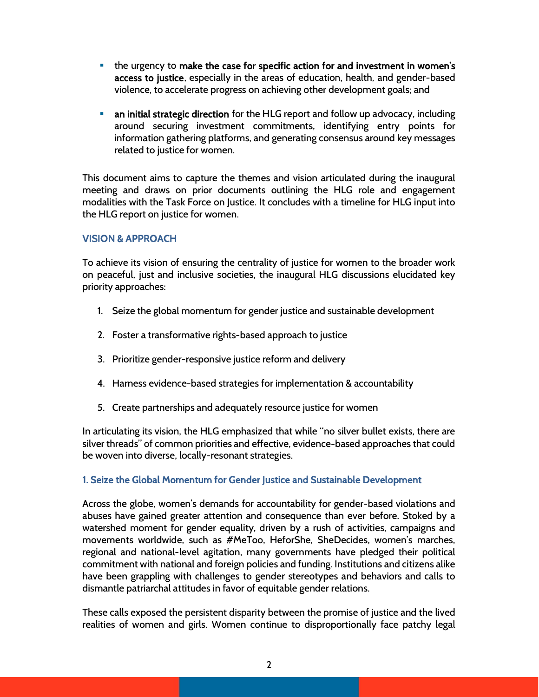- the urgency to make the case for specific action for and investment in women's access to justice, especially in the areas of education, health, and gender-based violence, to accelerate progress on achieving other development goals; and
- an initial strategic direction for the HLG report and follow up advocacy, including around securing investment commitments, identifying entry points for information gathering platforms, and generating consensus around key messages related to justice for women.

This document aims to capture the themes and vision articulated during the inaugural meeting and draws on prior documents outlining the HLG role and engagement modalities with the Task Force on Justice. It concludes with a timeline for HLG input into the HLG report on justice for women.

## VISION & APPROACH

To achieve its vision of ensuring the centrality of justice for women to the broader work on peaceful, just and inclusive societies, the inaugural HLG discussions elucidated key priority approaches:

- 1. Seize the global momentum for gender justice and sustainable development
- 2. Foster a transformative rights-based approach to justice
- 3. Prioritize gender-responsive justice reform and delivery
- 4. Harness evidence-based strategies for implementation & accountability
- 5. Create partnerships and adequately resource justice for women

In articulating its vision, the HLG emphasized that while "no silver bullet exists, there are silver threads" of common priorities and effective, evidence-based approaches that could be woven into diverse, locally-resonant strategies.

# 1. Seize the Global Momentum for Gender Justice and Sustainable Development

Across the globe, women's demands for accountability for gender-based violations and abuses have gained greater attention and consequence than ever before. Stoked by a watershed moment for gender equality, driven by a rush of activities, campaigns and movements worldwide, such as #MeToo, HeforShe, SheDecides, women's marches, regional and national-level agitation, many governments have pledged their political commitment with national and foreign policies and funding. Institutions and citizens alike have been grappling with challenges to gender stereotypes and behaviors and calls to dismantle patriarchal attitudes in favor of equitable gender relations.

These calls exposed the persistent disparity between the promise of justice and the lived realities of women and girls. Women continue to disproportionally face patchy legal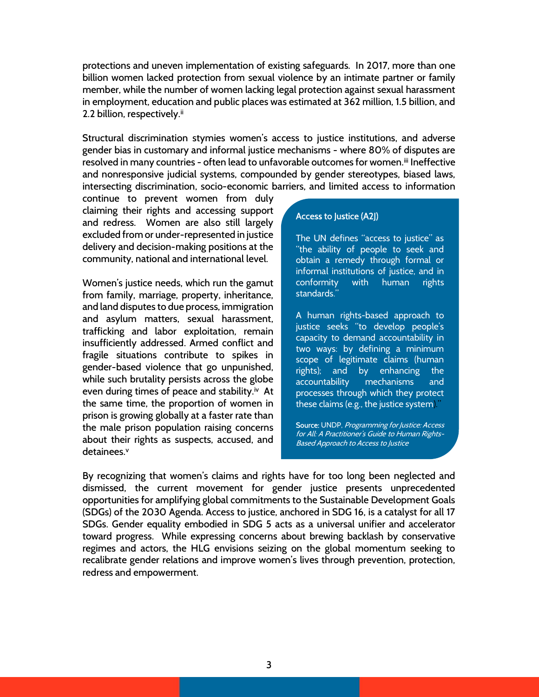protections and uneven implementation of existing safeguards. In 2017, more than one billion women lacked protection from sexual violence by an intimate partner or family member, while the number of women lacking legal protection against sexual harassment in employment, education and public places was estimated at 362 million, 1.5 billion, and 2.2 billion, respectively.<sup>ii</sup>

Structural discrimination stymies women's access to justice institutions, and adverse gender bias in customary and informal justice mechanisms - where 80% of disputes are resolved in many countries - often lead to unfavorable outcomes for women.<sup>iii</sup> Ineffective and nonresponsive judicial systems, compounded by gender stereotypes, biased laws, intersecting discrimination, socio-economic barriers, and limited access to information

continue to prevent women from duly claiming their rights and accessing support and redress. Women are also still largely excluded from or under-represented in justice delivery and decision-making positions at the community, national and international level.

Women's justice needs, which run the gamut from family, marriage, property, inheritance, and land disputes to due process, immigration and asylum matters, sexual harassment, trafficking and labor exploitation, remain insufficiently addressed. Armed conflict and fragile situations contribute to spikes in gender-based violence that go unpunished, while such brutality persists across the globe even during times of peace and stability.<sup>iv</sup> At the same time, the proportion of women in prison is growing globally at a faster rate than the male prison population raising concerns about their rights as suspects, accused, and detainees.<sup>v</sup>

#### Access to Justice (A2J)

The UN defines "access to justice" as "the ability of people to seek and obtain a remedy through formal or informal institutions of justice, and in conformity with human rights standards."

A human rights-based approach to justice seeks "to develop people's capacity to demand accountability in two ways: by defining a minimum scope of legitimate claims (human rights); and by enhancing the accountability mechanisms and processes through which they protect these claims (e.g., the justice system)."

Source: UNDP, Programming for Justice: Access for All: A Practitioner's Guide to Human Rights-Based Approach to Access to Justice

By recognizing that women's claims and rights have for too long been neglected and dismissed, the current movement for gender justice presents unprecedented opportunities for amplifying global commitments to the Sustainable Development Goals (SDGs) of the 2030 Agenda. Access to justice, anchored in SDG 16, is a catalyst for all 17 SDGs. Gender equality embodied in SDG 5 acts as a universal unifier and accelerator toward progress. While expressing concerns about brewing backlash by conservative regimes and actors, the HLG envisions seizing on the global momentum seeking to recalibrate gender relations and improve women's lives through prevention, protection, redress and empowerment.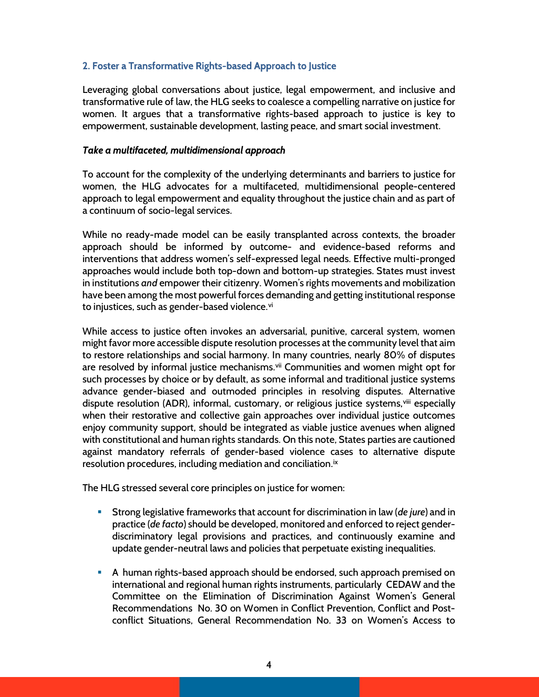## 2. Foster a Transformative Rights-based Approach to Justice

Leveraging global conversations about justice, legal empowerment, and inclusive and transformative rule of law, the HLG seeks to coalesce a compelling narrative on justice for women. It argues that a transformative rights-based approach to justice is key to empowerment, sustainable development, lasting peace, and smart social investment.

## Take a multifaceted, multidimensional approach

To account for the complexity of the underlying determinants and barriers to justice for women, the HLG advocates for a multifaceted, multidimensional people-centered approach to legal empowerment and equality throughout the justice chain and as part of a continuum of socio-legal services.

While no ready-made model can be easily transplanted across contexts, the broader approach should be informed by outcome- and evidence-based reforms and interventions that address women's self-expressed legal needs. Effective multi-pronged approaches would include both top-down and bottom-up strategies. States must invest in institutions and empower their citizenry. Women's rights movements and mobilization have been among the most powerful forces demanding and getting institutional response to injustices, such as gender-based violence.<sup>vi</sup>

While access to justice often invokes an adversarial, punitive, carceral system, women might favor more accessible dispute resolution processes at the community level that aim to restore relationships and social harmony. In many countries, nearly 80% of disputes are resolved by informal justice mechanisms.<sup>vii</sup> Communities and women might opt for such processes by choice or by default, as some informal and traditional justice systems advance gender-biased and outmoded principles in resolving disputes. Alternative dispute resolution (ADR), informal, customary, or religious justice systems, vill especially when their restorative and collective gain approaches over individual justice outcomes enjoy community support, should be integrated as viable justice avenues when aligned with constitutional and human rights standards. On this note, States parties are cautioned against mandatory referrals of gender-based violence cases to alternative dispute resolution procedures, including mediation and conciliation.<sup>ix</sup>

The HLG stressed several core principles on justice for women:

- **Strong legislative frameworks that account for discrimination in law (de jure) and in** practice (de facto) should be developed, monitored and enforced to reject genderdiscriminatory legal provisions and practices, and continuously examine and update gender-neutral laws and policies that perpetuate existing inequalities.
- A human rights-based approach should be endorsed, such approach premised on international and regional human rights instruments, particularly CEDAW and the Committee on the Elimination of Discrimination Against Women's General Recommendations No. 30 on Women in Conflict Prevention, Conflict and Postconflict Situations, General Recommendation No. 33 on Women's Access to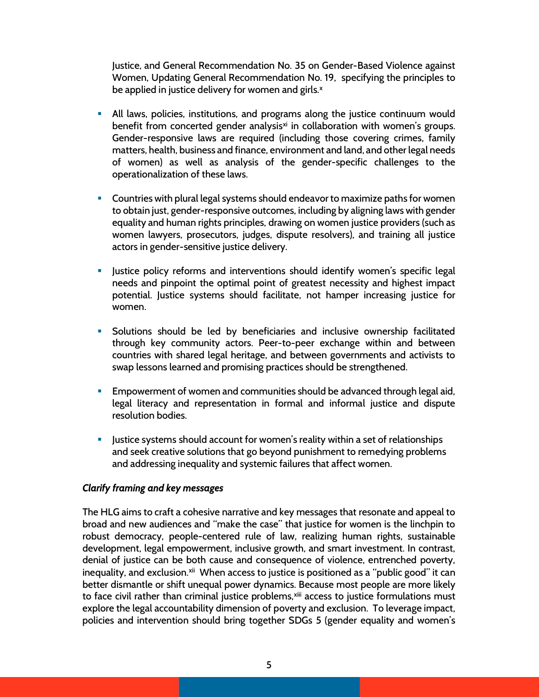Justice, and General Recommendation No. 35 on Gender-Based Violence against Women, Updating General Recommendation No. 19, specifying the principles to be applied in justice delivery for women and girls.<sup>x</sup>

- All laws, policies, institutions, and programs along the justice continuum would benefit from concerted gender analysis<sup>xi</sup> in collaboration with women's groups. Gender-responsive laws are required (including those covering crimes, family matters, health, business and finance, environment and land, and other legal needs of women) as well as analysis of the gender-specific challenges to the operationalization of these laws.
- **Countries with plural legal systems should endeavor to maximize paths for women** to obtain just, gender-responsive outcomes, including by aligning laws with gender equality and human rights principles, drawing on women justice providers (such as women lawyers, prosecutors, judges, dispute resolvers), and training all justice actors in gender-sensitive justice delivery.
- **Justice policy reforms and interventions should identify women's specific legal** needs and pinpoint the optimal point of greatest necessity and highest impact potential. Justice systems should facilitate, not hamper increasing justice for women.
- Solutions should be led by beneficiaries and inclusive ownership facilitated through key community actors. Peer-to-peer exchange within and between countries with shared legal heritage, and between governments and activists to swap lessons learned and promising practices should be strengthened.
- Empowerment of women and communities should be advanced through legal aid, legal literacy and representation in formal and informal justice and dispute resolution bodies.
- Justice systems should account for women's reality within a set of relationships and seek creative solutions that go beyond punishment to remedying problems and addressing inequality and systemic failures that affect women.

#### Clarify framing and key messages

The HLG aims to craft a cohesive narrative and key messages that resonate and appeal to broad and new audiences and "make the case" that justice for women is the linchpin to robust democracy, people-centered rule of law, realizing human rights, sustainable development, legal empowerment, inclusive growth, and smart investment. In contrast, denial of justice can be both cause and consequence of violence, entrenched poverty, inequality, and exclusion.<sup>xii</sup> When access to justice is positioned as a "public good" it can better dismantle or shift unequal power dynamics. Because most people are more likely to face civil rather than criminal justice problems, xiii access to justice formulations must explore the legal accountability dimension of poverty and exclusion. To leverage impact, policies and intervention should bring together SDGs 5 (gender equality and women's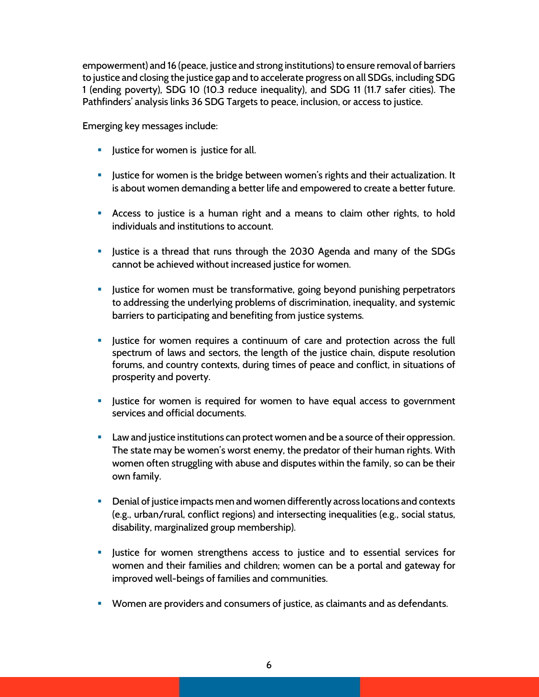empowerment) and 16 (peace, justice and strong institutions) to ensure removal of barriers to justice and closing the justice gap and to accelerate progress on all SDGs, including SDG 1 (ending poverty), SDG 10 (10.3 reduce inequality), and SDG 11 (11.7 safer cities). The Pathfinders' analysis links 36 SDG Targets to peace, inclusion, or access to justice.

Emerging key messages include:

- **Justice for women is justice for all.**
- **Justice for women is the bridge between women's rights and their actualization. It** is about women demanding a better life and empowered to create a better future.
- Access to justice is a human right and a means to claim other rights, to hold individuals and institutions to account.
- Justice is a thread that runs through the 2030 Agenda and many of the SDGs cannot be achieved without increased justice for women.
- **Justice for women must be transformative, going beyond punishing perpetrators** to addressing the underlying problems of discrimination, inequality, and systemic barriers to participating and benefiting from justice systems.
- **Justice for women requires a continuum of care and protection across the full** spectrum of laws and sectors, the length of the justice chain, dispute resolution forums, and country contexts, during times of peace and conflict, in situations of prosperity and poverty.
- **Justice for women is required for women to have equal access to government** services and official documents.
- **Law and justice institutions can protect women and be a source of their oppression.** The state may be women's worst enemy, the predator of their human rights. With women often struggling with abuse and disputes within the family, so can be their own family.
- Denial of justice impacts men and women differently across locations and contexts (e.g., urban/rural, conflict regions) and intersecting inequalities (e.g., social status, disability, marginalized group membership).
- **Justice for women strengthens access to justice and to essential services for** women and their families and children; women can be a portal and gateway for improved well-beings of families and communities.
- Women are providers and consumers of justice, as claimants and as defendants.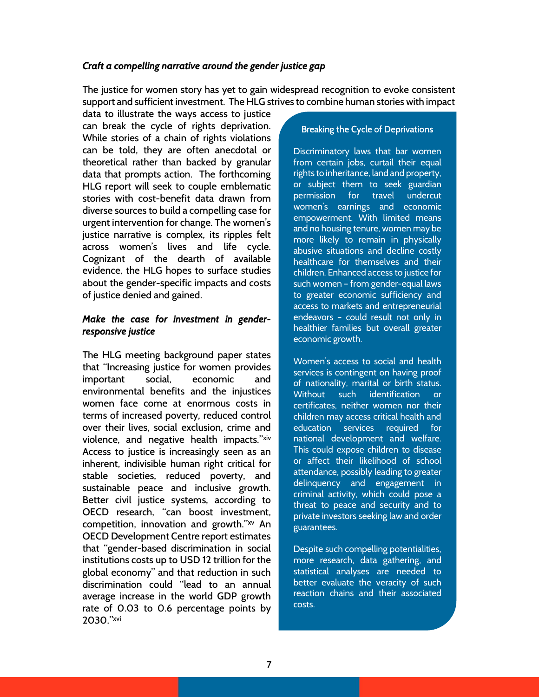## Craft a compelling narrative around the gender justice gap

The justice for women story has yet to gain widespread recognition to evoke consistent support and sufficient investment. The HLG strives to combine human stories with impact

data to illustrate the ways access to justice can break the cycle of rights deprivation. While stories of a chain of rights violations can be told, they are often anecdotal or theoretical rather than backed by granular data that prompts action. The forthcoming HLG report will seek to couple emblematic stories with cost-benefit data drawn from diverse sources to build a compelling case for urgent intervention for change. The women's justice narrative is complex, its ripples felt across women's lives and life cycle. Cognizant of the dearth of available evidence, the HLG hopes to surface studies about the gender-specific impacts and costs of justice denied and gained.

## Make the case for investment in genderresponsive justice

The HLG meeting background paper states that "Increasing justice for women provides important social, economic and environmental benefits and the injustices women face come at enormous costs in terms of increased poverty, reduced control over their lives, social exclusion, crime and violence, and negative health impacts."xiv Access to justice is increasingly seen as an inherent, indivisible human right critical for stable societies, reduced poverty, and sustainable peace and inclusive growth. Better civil justice systems, according to OECD research, "can boost investment, competition, innovation and growth."xv An OECD Development Centre report estimates that "gender-based discrimination in social institutions costs up to USD 12 trillion for the global economy" and that reduction in such discrimination could "lead to an annual average increase in the world GDP growth rate of 0.03 to 0.6 percentage points by 2030."xvi

#### Breaking the Cycle of Deprivations

Discriminatory laws that bar women from certain jobs, curtail their equal rights to inheritance, land and property, or subject them to seek guardian permission for travel undercut women's earnings and economic empowerment. With limited means and no housing tenure, women may be more likely to remain in physically abusive situations and decline costly healthcare for themselves and their children. Enhanced access to justice for such women – from gender-equal laws to greater economic sufficiency and access to markets and entrepreneurial endeavors – could result not only in healthier families but overall greater economic growth.

Women's access to social and health services is contingent on having proof of nationality, marital or birth status. Without such identification or certificates, neither women nor their children may access critical health and education services required for national development and welfare. This could expose children to disease or affect their likelihood of school attendance, possibly leading to greater delinquency and engagement in criminal activity, which could pose a threat to peace and security and to private investors seeking law and order guarantees.

Despite such compelling potentialities, more research, data gathering, and statistical analyses are needed to better evaluate the veracity of such reaction chains and their associated costs.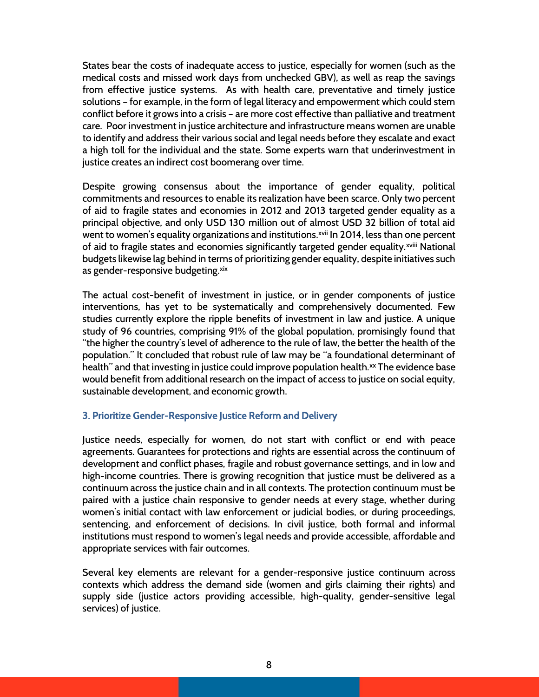States bear the costs of inadequate access to justice, especially for women (such as the medical costs and missed work days from unchecked GBV), as well as reap the savings from effective justice systems. As with health care, preventative and timely justice solutions – for example, in the form of legal literacy and empowerment which could stem conflict before it grows into a crisis – are more cost effective than palliative and treatment care. Poor investment in justice architecture and infrastructure means women are unable to identify and address their various social and legal needs before they escalate and exact a high toll for the individual and the state. Some experts warn that underinvestment in justice creates an indirect cost boomerang over time.

Despite growing consensus about the importance of gender equality, political commitments and resources to enable its realization have been scarce. Only two percent of aid to fragile states and economies in 2012 and 2013 targeted gender equality as a principal objective, and only USD 130 million out of almost USD 32 billion of total aid went to women's equality organizations and institutions.<sup>xvii</sup> In 2014, less than one percent of aid to fragile states and economies significantly targeted gender equality.<sup>xviii</sup> National budgets likewise lag behind in terms of prioritizing gender equality, despite initiatives such as gender-responsive budgeting.xix

The actual cost-benefit of investment in justice, or in gender components of justice interventions, has yet to be systematically and comprehensively documented. Few studies currently explore the ripple benefits of investment in law and justice. A unique study of 96 countries, comprising 91% of the global population, promisingly found that "the higher the country's level of adherence to the rule of law, the better the health of the population." It concluded that robust rule of law may be "a foundational determinant of health" and that investing in justice could improve population health.<sup>xx</sup> The evidence base would benefit from additional research on the impact of access to justice on social equity, sustainable development, and economic growth.

#### 3. Prioritize Gender-Responsive Justice Reform and Delivery

Justice needs, especially for women, do not start with conflict or end with peace agreements. Guarantees for protections and rights are essential across the continuum of development and conflict phases, fragile and robust governance settings, and in low and high-income countries. There is growing recognition that justice must be delivered as a continuum across the justice chain and in all contexts. The protection continuum must be paired with a justice chain responsive to gender needs at every stage, whether during women's initial contact with law enforcement or judicial bodies, or during proceedings, sentencing, and enforcement of decisions. In civil justice, both formal and informal institutions must respond to women's legal needs and provide accessible, affordable and appropriate services with fair outcomes.

Several key elements are relevant for a gender-responsive justice continuum across contexts which address the demand side (women and girls claiming their rights) and supply side (justice actors providing accessible, high-quality, gender-sensitive legal services) of justice.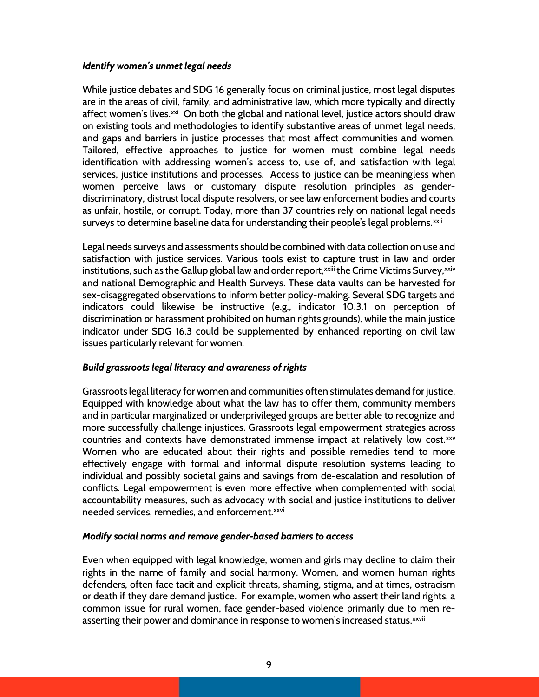## Identify women's unmet legal needs

While justice debates and SDG 16 generally focus on criminal justice, most legal disputes are in the areas of civil, family, and administrative law, which more typically and directly affect women's lives.<sup>xxi</sup> On both the global and national level, justice actors should draw on existing tools and methodologies to identify substantive areas of unmet legal needs, and gaps and barriers in justice processes that most affect communities and women. Tailored, effective approaches to justice for women must combine legal needs identification with addressing women's access to, use of, and satisfaction with legal services, justice institutions and processes. Access to justice can be meaningless when women perceive laws or customary dispute resolution principles as genderdiscriminatory, distrust local dispute resolvers, or see law enforcement bodies and courts as unfair, hostile, or corrupt. Today, more than 37 countries rely on national legal needs surveys to determine baseline data for understanding their people's legal problems.<sup>xxii</sup>

Legal needs surveys and assessments should be combined with data collection on use and satisfaction with justice services. Various tools exist to capture trust in law and order institutions, such as the Gallup global law and order report,<sup>xxiii</sup> the Crime Victims Survey,<sup>xxiv</sup> and national Demographic and Health Surveys. These data vaults can be harvested for sex-disaggregated observations to inform better policy-making. Several SDG targets and indicators could likewise be instructive (e.g., indicator 10.3.1 on perception of discrimination or harassment prohibited on human rights grounds), while the main justice indicator under SDG 16.3 could be supplemented by enhanced reporting on civil law issues particularly relevant for women.

# Build grassroots legal literacy and awareness of rights

Grassroots legal literacy for women and communities often stimulates demand for justice. Equipped with knowledge about what the law has to offer them, community members and in particular marginalized or underprivileged groups are better able to recognize and more successfully challenge injustices. Grassroots legal empowerment strategies across countries and contexts have demonstrated immense impact at relatively low cost.xxv Women who are educated about their rights and possible remedies tend to more effectively engage with formal and informal dispute resolution systems leading to individual and possibly societal gains and savings from de-escalation and resolution of conflicts. Legal empowerment is even more effective when complemented with social accountability measures, such as advocacy with social and justice institutions to deliver needed services, remedies, and enforcement.<sup>xxvi</sup>

## Modify social norms and remove gender-based barriers to access

Even when equipped with legal knowledge, women and girls may decline to claim their rights in the name of family and social harmony. Women, and women human rights defenders, often face tacit and explicit threats, shaming, stigma, and at times, ostracism or death if they dare demand justice. For example, women who assert their land rights, a common issue for rural women, face gender-based violence primarily due to men reasserting their power and dominance in response to women's increased status.<sup>xxvii</sup>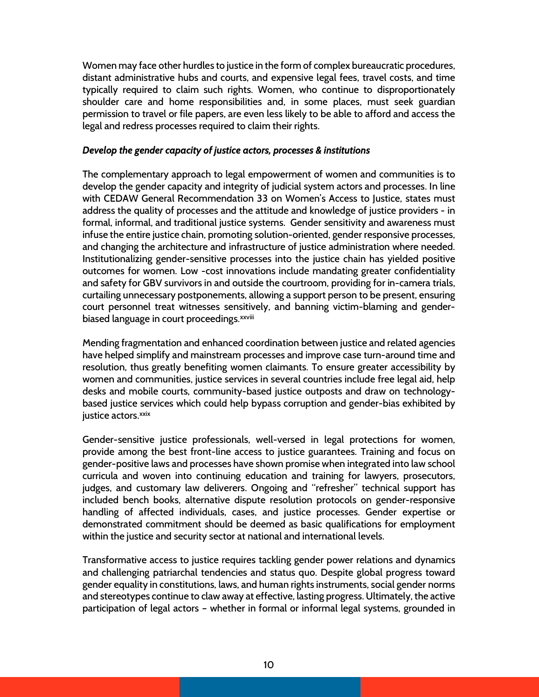Women may face other hurdles to justice in the form of complex bureaucratic procedures, distant administrative hubs and courts, and expensive legal fees, travel costs, and time typically required to claim such rights. Women, who continue to disproportionately shoulder care and home responsibilities and, in some places, must seek guardian permission to travel or file papers, are even less likely to be able to afford and access the legal and redress processes required to claim their rights.

## Develop the gender capacity of justice actors, processes & institutions

The complementary approach to legal empowerment of women and communities is to develop the gender capacity and integrity of judicial system actors and processes. In line with CEDAW General Recommendation 33 on Women's Access to Justice, states must address the quality of processes and the attitude and knowledge of justice providers - in formal, informal, and traditional justice systems. Gender sensitivity and awareness must infuse the entire justice chain, promoting solution-oriented, gender responsive processes, and changing the architecture and infrastructure of justice administration where needed. Institutionalizing gender-sensitive processes into the justice chain has yielded positive outcomes for women. Low -cost innovations include mandating greater confidentiality and safety for GBV survivors in and outside the courtroom, providing for in-camera trials, curtailing unnecessary postponements, allowing a support person to be present, ensuring court personnel treat witnesses sensitively, and banning victim-blaming and genderbiased language in court proceedings.<sup>xxviii</sup>

Mending fragmentation and enhanced coordination between justice and related agencies have helped simplify and mainstream processes and improve case turn-around time and resolution, thus greatly benefiting women claimants. To ensure greater accessibility by women and communities, justice services in several countries include free legal aid, help desks and mobile courts, community-based justice outposts and draw on technologybased justice services which could help bypass corruption and gender-bias exhibited by justice actors.<sup>xxix</sup>

Gender-sensitive justice professionals, well-versed in legal protections for women, provide among the best front-line access to justice guarantees. Training and focus on gender-positive laws and processes have shown promise when integrated into law school curricula and woven into continuing education and training for lawyers, prosecutors, judges, and customary law deliverers. Ongoing and "refresher" technical support has included bench books, alternative dispute resolution protocols on gender-responsive handling of affected individuals, cases, and justice processes. Gender expertise or demonstrated commitment should be deemed as basic qualifications for employment within the justice and security sector at national and international levels.

Transformative access to justice requires tackling gender power relations and dynamics and challenging patriarchal tendencies and status quo. Despite global progress toward gender equality in constitutions, laws, and human rights instruments, social gender norms and stereotypes continue to claw away at effective, lasting progress. Ultimately, the active participation of legal actors – whether in formal or informal legal systems, grounded in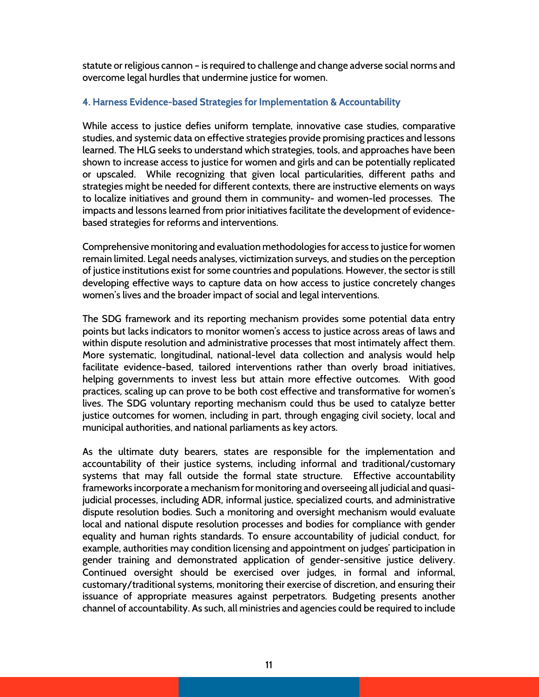statute or religious cannon – is required to challenge and change adverse social norms and overcome legal hurdles that undermine justice for women.

#### 4. Harness Evidence-based Strategies for Implementation & Accountability

While access to justice defies uniform template, innovative case studies, comparative studies, and systemic data on effective strategies provide promising practices and lessons learned. The HLG seeks to understand which strategies, tools, and approaches have been shown to increase access to justice for women and girls and can be potentially replicated or upscaled. While recognizing that given local particularities, different paths and strategies might be needed for different contexts, there are instructive elements on ways to localize initiatives and ground them in community- and women-led processes. The impacts and lessons learned from prior initiatives facilitate the development of evidencebased strategies for reforms and interventions.

Comprehensive monitoring and evaluation methodologies for access to justice for women remain limited. Legal needs analyses, victimization surveys, and studies on the perception of justice institutions exist for some countries and populations. However, the sector is still developing effective ways to capture data on how access to justice concretely changes women's lives and the broader impact of social and legal interventions.

The SDG framework and its reporting mechanism provides some potential data entry points but lacks indicators to monitor women's access to justice across areas of laws and within dispute resolution and administrative processes that most intimately affect them. More systematic, longitudinal, national-level data collection and analysis would help facilitate evidence-based, tailored interventions rather than overly broad initiatives, helping governments to invest less but attain more effective outcomes. With good practices, scaling up can prove to be both cost effective and transformative for women's lives. The SDG voluntary reporting mechanism could thus be used to catalyze better justice outcomes for women, including in part, through engaging civil society, local and municipal authorities, and national parliaments as key actors.

As the ultimate duty bearers, states are responsible for the implementation and accountability of their justice systems, including informal and traditional/customary systems that may fall outside the formal state structure. Effective accountability frameworks incorporate a mechanism for monitoring and overseeing all judicial and quasijudicial processes, including ADR, informal justice, specialized courts, and administrative dispute resolution bodies. Such a monitoring and oversight mechanism would evaluate local and national dispute resolution processes and bodies for compliance with gender equality and human rights standards. To ensure accountability of judicial conduct, for example, authorities may condition licensing and appointment on judges' participation in gender training and demonstrated application of gender-sensitive justice delivery. Continued oversight should be exercised over judges, in formal and informal, customary/traditional systems, monitoring their exercise of discretion, and ensuring their issuance of appropriate measures against perpetrators. Budgeting presents another channel of accountability. As such, all ministries and agencies could be required to include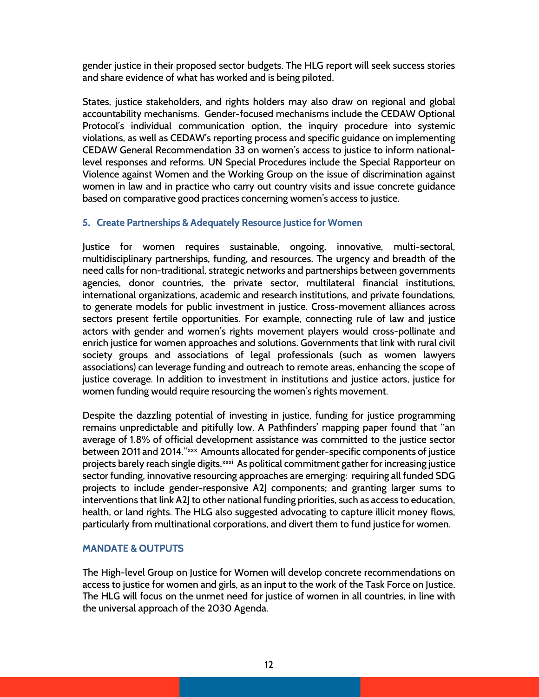gender justice in their proposed sector budgets. The HLG report will seek success stories and share evidence of what has worked and is being piloted.

States, justice stakeholders, and rights holders may also draw on regional and global accountability mechanisms. Gender-focused mechanisms include the CEDAW Optional Protocol's individual communication option, the inquiry procedure into systemic violations, as well as CEDAW's reporting process and specific guidance on implementing CEDAW General Recommendation 33 on women's access to justice to inform nationallevel responses and reforms. UN Special Procedures include the Special Rapporteur on Violence against Women and the Working Group on the issue of discrimination against women in law and in practice who carry out country visits and issue concrete guidance based on comparative good practices concerning women's access to justice.

## 5. Create Partnerships & Adequately Resource Justice for Women

Justice for women requires sustainable, ongoing, innovative, multi-sectoral, multidisciplinary partnerships, funding, and resources. The urgency and breadth of the need calls for non-traditional, strategic networks and partnerships between governments agencies, donor countries, the private sector, multilateral financial institutions, international organizations, academic and research institutions, and private foundations, to generate models for public investment in justice. Cross-movement alliances across sectors present fertile opportunities. For example, connecting rule of law and justice actors with gender and women's rights movement players would cross-pollinate and enrich justice for women approaches and solutions. Governments that link with rural civil society groups and associations of legal professionals (such as women lawyers associations) can leverage funding and outreach to remote areas, enhancing the scope of justice coverage. In addition to investment in institutions and justice actors, justice for women funding would require resourcing the women's rights movement.

Despite the dazzling potential of investing in justice, funding for justice programming remains unpredictable and pitifully low. A Pathfinders' mapping paper found that "an average of 1.8% of official development assistance was committed to the justice sector between 2011 and 2014."<sup>xxx</sup> Amounts allocated for gender-specific components of justice projects barely reach single digits. xxxi As political commitment gather for increasing justice sector funding, innovative resourcing approaches are emerging: requiring all funded SDG projects to include gender-responsive A2J components; and granting larger sums to interventions that link A2J to other national funding priorities, such as access to education, health, or land rights. The HLG also suggested advocating to capture illicit money flows, particularly from multinational corporations, and divert them to fund justice for women.

## MANDATE & OUTPUTS

The High-level Group on Justice for Women will develop concrete recommendations on access to justice for women and girls, as an input to the work of the Task Force on Justice. The HLG will focus on the unmet need for justice of women in all countries, in line with the universal approach of the 2030 Agenda.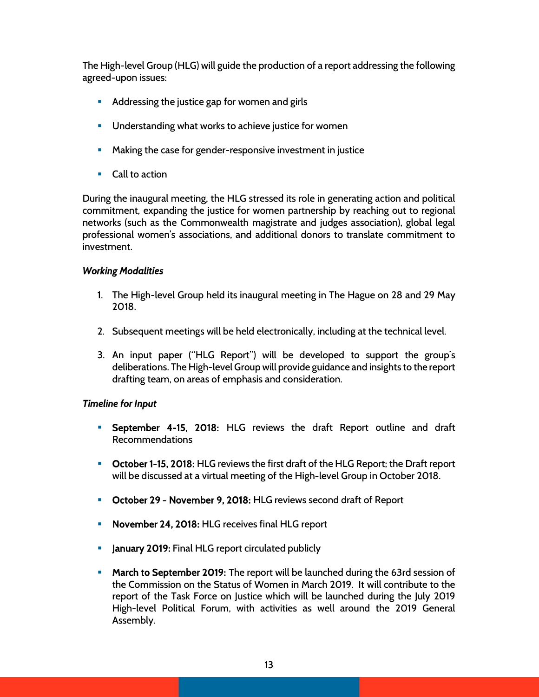The High-level Group (HLG) will guide the production of a report addressing the following agreed-upon issues:

- **Addressing the justice gap for women and girls**
- **Understanding what works to achieve justice for women**
- **Making the case for gender-responsive investment in justice**
- Call to action

During the inaugural meeting, the HLG stressed its role in generating action and political commitment, expanding the justice for women partnership by reaching out to regional networks (such as the Commonwealth magistrate and judges association), global legal professional women's associations, and additional donors to translate commitment to investment.

# Working Modalities

- 1. The High-level Group held its inaugural meeting in The Hague on 28 and 29 May 2018.
- 2. Subsequent meetings will be held electronically, including at the technical level.
- 3. An input paper ("HLG Report") will be developed to support the group's deliberations. The High-level Group will provide guidance and insights to the report drafting team, on areas of emphasis and consideration.

# Timeline for Input

- **September 4-15, 2018:** HLG reviews the draft Report outline and draft Recommendations
- **October 1-15, 2018:** HLG reviews the first draft of the HLG Report; the Draft report will be discussed at a virtual meeting of the High-level Group in October 2018.
- **October 29 November 9, 2018: HLG reviews second draft of Report**
- November 24, 2018: HLG receives final HLG report
- **January 2019:** Final HLG report circulated publicly
- **March to September 2019:** The report will be launched during the 63rd session of the Commission on the Status of Women in March 2019. It will contribute to the report of the Task Force on Justice which will be launched during the July 2019 High-level Political Forum, with activities as well around the 2019 General Assembly.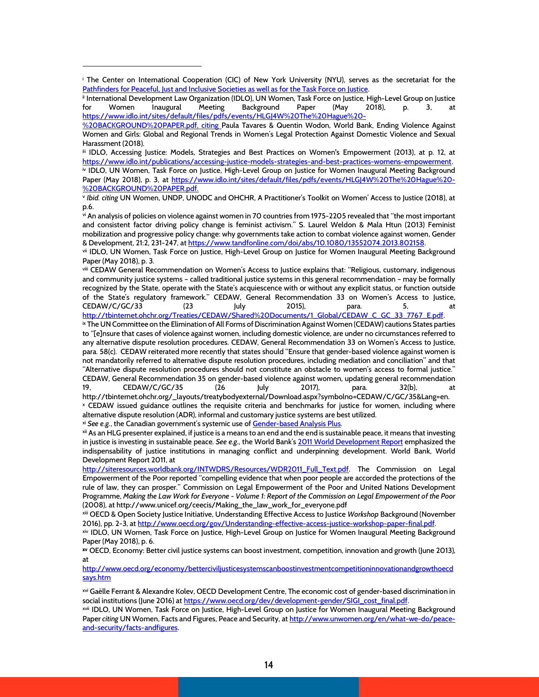iii IDLO, Accessing Justice: Models, Strategies and Best Practices on Women's Empowerment (2013), at p. 12, at https://www.idlo.int/publications/accessing-justice-models-strategies-and-best-practices-womens-empowerment.

iv IDLO, UN Women, Task Force on Justice, High-Level Group on Justice for Women Inaugural Meeting Background Paper (May 2018), p. 3, at https://www.idlo.int/sites/default/files/pdfs/events/HLGJ4W%20The%20Hague%20-%20BACKGROUND%20PAPER.pdf.

v Ibid. citing UN Women, UNDP, UNODC and OHCHR, A Practitioner's Toolkit on Women' Access to Justice (2018), at p.6.

vi An analysis of policies on violence against women in 70 countries from 1975-2205 revealed that "the most important and consistent factor driving policy change is feminist activism." S. Laurel Weldon & Mala Htun (2013) Feminist mobilization and progressive policy change: why governments take action to combat violence against women, Gender & Development, 21:2, 231-247, at https://www.tandfonline.com/doi/abs/10.1080/13552074.2013.802158.

vii IDLO, UN Women, Task Force on Justice, High-Level Group on Justice for Women Inaugural Meeting Background Paper (May 2018), p. 3.

viii CEDAW General Recommendation on Women's Access to Justice explains that: "Religious, customary, indigenous and community justice systems – called traditional justice systems in this general recommendation – may be formally recognized by the State, operate with the State's acquiescence with or without any explicit status, or function outside of the State's regulatory framework." CEDAW, General Recommendation 33 on Women's Access to Justice, CEDAW/C/GC/33 (23 July 2015), para. 5, at

http://tbinternet.ohchr.org/Treaties/CEDAW/Shared%20Documents/1\_Global/CEDAW\_C\_GC\_33\_7767\_E.pdf. ix The UN Committee on the Elimination of All Forms of Discrimination Against Women (CEDAW) cautions States parties to "[e]nsure that cases of violence against women, including domestic violence, are under no circumstances referred to any alternative dispute resolution procedures. CEDAW, General Recommendation 33 on Women's Access to Justice, para. 58(c). CEDAW reiterated more recently that states should "Ensure that gender-based violence against women is not mandatorily referred to alternative dispute resolution procedures, including mediation and conciliation" and that "Alternative dispute resolution procedures should not constitute an obstacle to women's access to formal justice." CEDAW, General Recommendation 35 on gender-based violence against women, updating general recommendation 19, CEDAW/C/GC/35 (26 July 2017), para. 32(b), at

http://tbinternet.ohchr.org/\_layouts/treatybodyexternal/Download.aspx?symbolno=CEDAW/C/GC/35&Lang=en. x CEDAW issued guidance outlines the requisite criteria and benchmarks for justice for women, including where alternative dispute resolution (ADR), informal and customary justice systems are best utilized.

xi See e.g., the Canadian government's systemic use of Gender-based Analysis Plus.

xii As an HLG presenter explained, if justice is a means to an end and the end is sustainable peace, it means that investing in justice is investing in sustainable peace. See e.g., the World Bank's 2011 World Development Report emphasized the indispensability of justice institutions in managing conflict and underpinning development. World Bank, World Development Report 2011, at

http://siteresources.worldbank.org/INTWDRS/Resources/WDR2011\_Full\_Text.pdf. The Commission on Legal Empowerment of the Poor reported "compelling evidence that when poor people are accorded the protections of the rule of law, they can prosper." Commission on Legal Empowerment of the Poor and United Nations Development Programme, Making the Law Work for Everyone - Volume 1: Report of the Commission on Legal Empowerment of the Poor (2008), at http://www.unicef.org/ceecis/Making\_the\_law\_work\_for\_everyone.pdf

xiii OECD & Open Society Justice Initiative, Understanding Effective Access to Justice Workshop Background (November 2016), pp. 2-3, at http://www.oecd.org/gov/Understanding-effective-access-justice-workshop-paper-final.pdf.

xiv IDLO, UN Women, Task Force on Justice, High-Level Group on Justice for Women Inaugural Meeting Background Paper (May 2018), p. 6.

xv OECD, Economy: Better civil justice systems can boost investment, competition, innovation and growth (June 2013), at

http://www.oecd.org/economy/betterciviljusticesystemscanboostinvestmentcompetitioninnovationandgrowthoecd says.htm

xvi Gaëlle Ferrant & Alexandre Kolev, OECD Development Centre, The economic cost of gender-based discrimination in social institutions (June 2016) at https://www.oecd.org/dev/development-gender/SIGI\_cost\_final.pdf.

xvii IDLO, UN Women, Task Force on Justice, High-Level Group on Justice for Women Inaugural Meeting Background Paper citing UN Women, Facts and Figures, Peace and Security, at http://www.unwomen.org/en/what-we-do/peaceand-security/facts-andfigures.

i The Center on International Cooperation (CIC) of New York University (NYU), serves as the secretariat for the Pathfinders for Peaceful, Just and Inclusive Societies as well as for the Task Force on Justice.

ii International Development Law Organization (IDLO), UN Women, Task Force on Justice, High-Level Group on Justice for Women Inaugural Meeting Background Paper (May 2018), p. 3, https://www.idlo.int/sites/default/files/pdfs/events/HLGJ4W%20The%20Hague%20-

<sup>%20</sup>BACKGROUND%20PAPER.pdf, citing Paula Tavares & Quentin Wodon, World Bank, Ending Violence Against Women and Girls: Global and Regional Trends in Women's Legal Protection Against Domestic Violence and Sexual Harassment (2018).